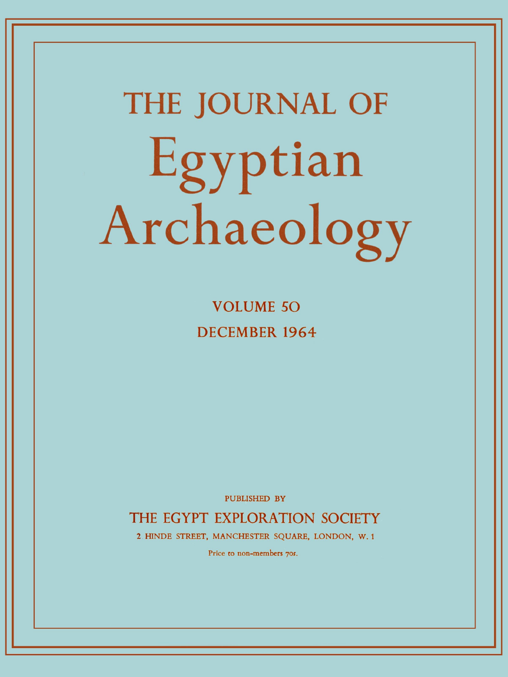# **THE JOURNAL OF**  Egyptian Archaeology

**VOLUME 5 0 DECEMBER 196 4** 

PUBLISHED BY

THE EGYPT EXPLORATION SOCIETY

2 HINDE STREET, MANCHESTER SQUARE, LONDON, W. 1

Price to non-members 70s.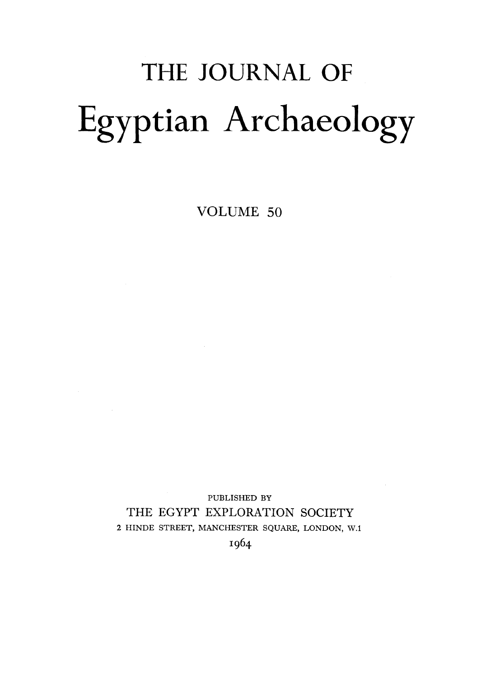# THE JOURNAL OF Egyptian Archaeology

VOLUME 50

PUBLISHED BY THE EGYPT EXPLORATION SOCIETY **2** HINDE STREET, MANCHESTER SQUARE, LONDON, W.l  $\sim 100$ 

 $\mathcal{L}^{\text{max}}_{\text{max}}$  , where  $\mathcal{L}^{\text{max}}_{\text{max}}$ 

I964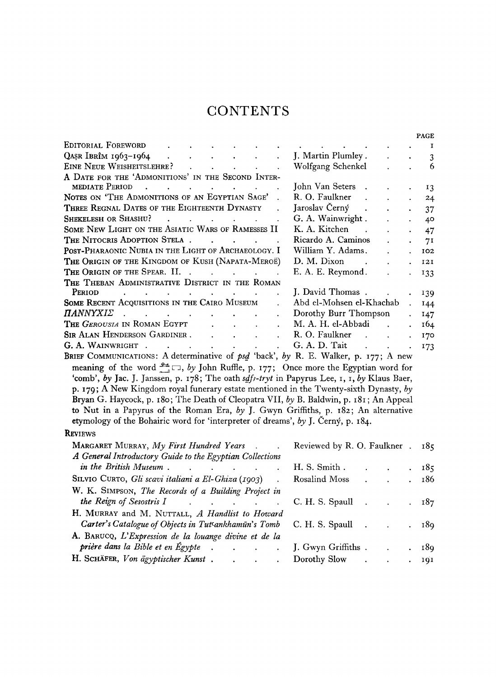### **CONTENTS**

|                                                                                                                                                                                                                                                                          |                                                      |                           | PAGE            |
|--------------------------------------------------------------------------------------------------------------------------------------------------------------------------------------------------------------------------------------------------------------------------|------------------------------------------------------|---------------------------|-----------------|
| EDITORIAL FOREWORD                                                                                                                                                                                                                                                       | and the contract of the contract of the              |                           | <b>I</b>        |
| $Q$ așr Ibrîm 1963–1964 (CASE)<br>$\mathbf{r}^{\prime}$                                                                                                                                                                                                                  | J. Martin Plumley .<br>$\mathbf{z}$ and $\mathbf{z}$ | $\sim 100$                | 3               |
| EINE NEUE WEISHEITSLEHRE? (Change of the contract of the contract of the contract of the contract of the contract of the contract of the contract of the contract of the contract of the contract of the contract of the contr                                           | Wolfgang Schenkel                                    |                           | 6               |
| A DATE FOR THE 'ADMONITIONS' IN THE SECOND INTER-                                                                                                                                                                                                                        |                                                      |                           |                 |
| MEDIATE PERIOD                                                                                                                                                                                                                                                           | John Van Seters.                                     | $\bullet$                 | $\overline{13}$ |
| NOTES ON 'THE ADMONITIONS OF AN EGYPTIAN SAGE'.                                                                                                                                                                                                                          | R. O. Faulkner<br>$\ddot{\phantom{0}}$               | $\mathbf{r} = \mathbf{r}$ | 24              |
| THREE REGNAL DATES OF THE EIGHTEENTH DYNASTY                                                                                                                                                                                                                             | Jaroslav Černý.                                      | $\ddot{\phantom{a}}$      | 37              |
| <b>SHEKELESH OR SHASHU?</b><br>$\mathcal{L}^{\mathcal{A}}$ . The contribution of the contribution of the contribution of the contribution of the contribution of the contribution of the contribution of the contribution of the contribution of the contribution of the | G. A. Wainwright.<br>¥.                              | $\mathbf{L}$              | 40              |
| SOME NEW LIGHT ON THE ASIATIC WARS OF RAMESSES II                                                                                                                                                                                                                        | K. A. Kitchen<br>$\mathbf{L}$                        |                           | $\cdot$ 47      |
| THE NITOCRIS ADOPTION STELA                                                                                                                                                                                                                                              | Ricardo A. Caminos                                   | $\bullet$                 | 7 <sup>I</sup>  |
| POST-PHARAONIC NUBIA IN THE LIGHT OF ARCHAEOLOGY. I                                                                                                                                                                                                                      | William Y. Adams.<br>$\ddot{\phantom{a}}$            |                           | . 102           |
| THE ORIGIN OF THE KINGDOM OF KUSH (NAPATA-MEROË)                                                                                                                                                                                                                         | D. M. Dixon<br>$\sim 10$<br>$\mathbf{r}$             | $\mathbf{L}$              | 121             |
| THE ORIGIN OF THE SPEAR. II.                                                                                                                                                                                                                                             | E. A. E. Reymond.                                    |                           | 133             |
| THE THEBAN ADMINISTRATIVE DISTRICT IN THE ROMAN                                                                                                                                                                                                                          |                                                      |                           |                 |
| PERIOD<br>the contract of the contract of the contract of the contract of the contract of                                                                                                                                                                                | J. David Thomas.                                     |                           | 139             |
| SOME RECENT ACQUISITIONS IN THE CAIRO MUSEUM                                                                                                                                                                                                                             | Abd el-Mohsen el-Khachab                             |                           | 144             |
| <b>ΠΑΝΝΥΧΙΣ</b><br>and the contract of the contract of the contract of                                                                                                                                                                                                   | Dorothy Burr Thompson                                |                           | 147             |
| The <i>Gerousia</i> in Roman Egypt<br>$\mathbf{L} = \mathbf{L} \mathbf{L} = \mathbf{L} \mathbf{L}$                                                                                                                                                                       | M. A. H. el-Abbadi                                   |                           | 164             |
| <b>SIR ALAN HENDERSON GARDINER.</b><br>$\mathbf{r} = \mathbf{r}$ and $\mathbf{r} = \mathbf{r}$                                                                                                                                                                           | R. O. Faulkner                                       | $\ddot{\phantom{a}}$      | 170             |
| G. A. WAINWRIGHT .<br>$\mathbf{L}^{\text{max}}$<br>the contract of the contract of the contract of                                                                                                                                                                       | G. A. D. Tait                                        |                           | . 173           |
| $\sim$ . The set of the set of the set of the set of the set of the set of the set of the set of the set of the set of the set of the set of the set of the set of the set of the set of the set of the set of the set of the s                                          |                                                      |                           |                 |

**B**RIEF **C**OMMUNICATIONS**: A determinative of** *psd* **'back',** *by* **R. E. Walker, p. 177 ; A new**  meaning of the word  $\frac{24}{\epsilon}$ , by John Ruffle, p. 177; Once more the Egyptian word for 'comb', by Jac. J. Janssen, p. 178; The oath *sdfs-tryt* in Papyrus Lee, 1, 1, by Klaus Baer, **p. 179 ; A New Kingdom royal funerary estate mentioned in the Twenty-sixth Dynasty,** *by*  **Bryan G . Haycock, p. 180 ; The Death of Cleopatra VII,** *by* **B. Baldwin, p. 18 1 ; An Appeal to Nut in a Papyrus of the Roman Era,** *by* **J. Gwyn Griffiths, p. 182 ; An alternative etymology of the Bohairic word for 'interpreter of dreams',** *by* **J. Cerny, p. 184 .** 

#### **R**EVIEWS

| <b>MARGARET MURRAY, My First Hundred Years</b> .<br>$\sim$                                                     | Reviewed by R. O. Faulkner . 185 |  |                      |       |
|----------------------------------------------------------------------------------------------------------------|----------------------------------|--|----------------------|-------|
| A General Introductory Guide to the Egyptian Collections                                                       |                                  |  |                      |       |
|                                                                                                                |                                  |  |                      | . 185 |
| SILVIO CURTO, Gli scavi italiani a El-Ghiza (1903).                                                            |                                  |  |                      | 186   |
| W. K. SIMPSON, The Records of a Building Project in                                                            |                                  |  |                      |       |
| the Reign of Sesostris I can be considered by the Reign of Sesostris I can be can be considered by the Reign C | C. H. S. Spaul 1                 |  |                      | . 187 |
| H. MURRAY and M. NUTTALL, A Handlist to Howard                                                                 |                                  |  |                      |       |
| Carter's Catalogue of Objects in Tutsankhamūn's Tomb C. H. S. Spaull .                                         |                                  |  | $\blacksquare$       | - 189 |
| A. BARUCQ, L'Expression de la louange divine et de la                                                          |                                  |  |                      |       |
| prière dans la Bible et en Égypte J. Gwyn Griffiths                                                            |                                  |  | $\ddot{\phantom{a}}$ | 189   |
| H. SCHÄFER, Von ägyptischer Kunst. 1. 1. 1.                                                                    |                                  |  | $\ddot{\phantom{0}}$ | 191   |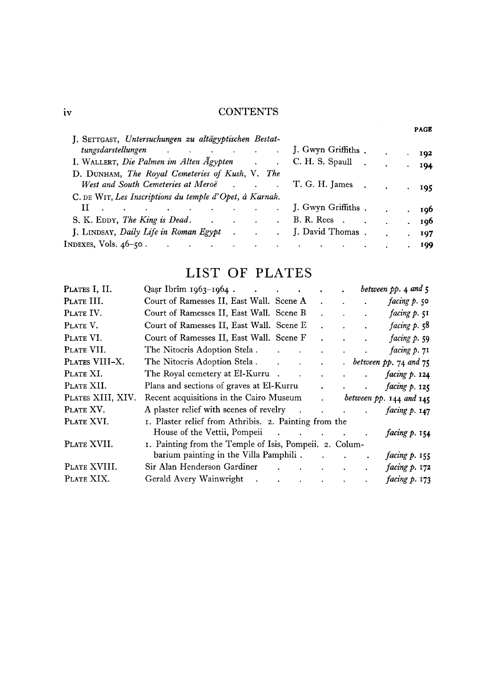## iv CONTENTS

| J. SETTGAST, Untersuchungen zu altägyptischen Bestat-                              |                                                |     |
|------------------------------------------------------------------------------------|------------------------------------------------|-----|
| tungsdarstellungen J. Gwyn Griffiths.                                              |                                                | 192 |
| I. WALLERT, Die Palmen im Alten Ägypten . C. H. S. Spaull .                        |                                                | 194 |
| D. DUNHAM, The Royal Cemeteries of Kush, V. The                                    |                                                |     |
| West and South Cemeteries at Meroë . T. G. H. James .                              |                                                | 195 |
| C. DE WIT, Les Inscriptions du temple d'Opet, à Karnak.                            |                                                |     |
| . J. Gwyn Griffiths .                                                              |                                                | 196 |
| S. K. EDDY, The King is Dead. B. R. Rees.                                          |                                                | 196 |
| J. LINDSAY, <i>Daily Life in Roman Egypt.</i> J. David Thomas.                     |                                                | 197 |
| INDEXES, Vols. 46–50 .<br>and the contract of the con-<br><b>Contract Contract</b> | and the state of the state of the<br>$\bullet$ | 199 |
|                                                                                    |                                                |     |

# LIST OF PLATES

| PLATES I, II.     | Qasr Ibrîm 1963–1964.                                   |                         |                               |                           |                                          |                              | between $pp.$ 4 and $5$         |
|-------------------|---------------------------------------------------------|-------------------------|-------------------------------|---------------------------|------------------------------------------|------------------------------|---------------------------------|
| PLATE III.        | Court of Ramesses II, East Wall. Scene A                |                         |                               |                           |                                          |                              | facing p. 50                    |
| PLATE IV.         | Court of Ramesses II, East Wall. Scene B                |                         |                               |                           |                                          | $\ddot{\phantom{a}}$         | facing p. 51                    |
| PLATE V.          | Court of Ramesses II, East Wall. Scene E                |                         |                               |                           |                                          | $\ddot{\phantom{0}}$         | facing $p.58$                   |
| PLATE VI.         | Court of Ramesses II, East Wall. Scene F                |                         |                               |                           |                                          | $\ddot{\phantom{a}}$         | facing p. 59                    |
| PLATE VII.        | The Nitocris Adoption Stela.                            |                         |                               | $\ddot{\phantom{0}}$      | $\mathbf{r} = \mathbf{r} + \mathbf{r}$ . |                              | facing p. 71                    |
| PLATES VIII-X.    |                                                         |                         |                               | $\ddot{\phantom{a}}$      |                                          |                              | $.$ between pp. 74 and 75       |
| PLATE XI.         | The Royal cemetery at El-Kurru.                         | $\sim 100$ km s $^{-1}$ |                               | $\mathbf{L}^{\text{max}}$ | $\mathbf{L}^{\text{max}}$                | $\mathbf{L}^{\text{max}}$    | facing $p. 124$                 |
| PLATE XII.        | Plans and sections of graves at El-Kurru                |                         |                               | $\mathbf{a}$              |                                          | and the contract of the con- | facing $p$ . 125                |
| PLATES XIII, XIV. | Recent acquisitions in the Cairo Museum                 |                         |                               |                           |                                          |                              | $\cdot$ between pp. 144 and 145 |
| PLATE XV.         | A plaster relief with scenes of revelry                 |                         |                               |                           |                                          |                              | facing p. 147                   |
| PLATE XVI.        | 1. Plaster relief from Athribis. 2. Painting from the   |                         |                               |                           |                                          |                              |                                 |
|                   |                                                         |                         |                               |                           |                                          |                              | facing $p. 154$                 |
| PLATE XVII.       | 1. Painting from the Temple of Isis, Pompeii. 2. Colum- |                         |                               |                           |                                          |                              |                                 |
|                   | barium painting in the Villa Pamphili.                  |                         |                               |                           |                                          |                              | facing $p. 155$                 |
| PLATE XVIII.      | Sir Alan Henderson Gardiner                             |                         | and the state of the state of |                           |                                          |                              | facing p. 172                   |
| PLATE XIX.        | Gerald Avery Wainwright                                 |                         |                               |                           |                                          | $\bullet$                    | facing p. 173                   |

PAGE

 $\label{eq:2} \frac{1}{2} \sum_{i=1}^n \frac{1}{2} \sum_{j=1}^n \frac{1}{2} \sum_{j=1}^n \frac{1}{2} \sum_{j=1}^n \frac{1}{2} \sum_{j=1}^n \frac{1}{2} \sum_{j=1}^n \frac{1}{2} \sum_{j=1}^n \frac{1}{2} \sum_{j=1}^n \frac{1}{2} \sum_{j=1}^n \frac{1}{2} \sum_{j=1}^n \frac{1}{2} \sum_{j=1}^n \frac{1}{2} \sum_{j=1}^n \frac{1}{2} \sum_{j=1}^n \frac{1}{$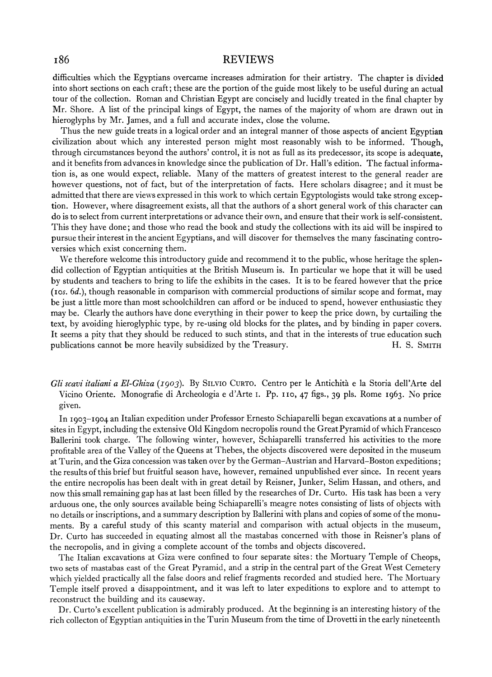#### REVIEWS

difficulties which the Egyptians overcame increases admiration for their artistry. The chapter is divided into short sections on each craft; these are the portion of the guide most likely to be useful during an actual tour of the collection. Roman and Christian Egypt are concisely and lucidly treated in the final chapter by Mr. Shore. A list of the principal kings of Egypt, the names of the majority of whom are drawn out in hieroglyphs by Mr. James, and a full and accurate index, close the volume.

Thus the new guide treats in a logical order and an integral manner of those aspects of ancient Egyptian civilization about which any interested person might most reasonably wish to be informed. Though, through circumstances beyond the authors' control, it is not as full as its predecessor, its scope is adequate, and it benefits from advances in knowledge since the publication of Dr. Hall's edition. The factual information is, as one would expect, reliable. Many of the matters of greatest interest to the general reader are however questions, not of fact, but of the interpretation of facts. Here scholars disagree; and it must be admitted that there are views expressed in this work to which certain Egyptologists would take strong exception. However, where disagreement exists, all that the authors of a short general work of this character can do is to select from current interpretations or advance their own, and ensure that their work is self-consistent. This they have done; and those who read the book and study the collections with its aid will be inspired to pursue their interest in the ancient Egyptians, and will discover for themselves the many fascinating controversies which exist concerning them.

We therefore welcome this introductory guide and recommend it to the public, whose heritage the splendid collection of Egyptian antiquities at the British Museum is. In particular we hope that it will be used by students and teachers to bring to life the exhibits in the cases. It is to be feared however that the price (10s. *6d.),* though reasonable in comparison with commercial productions of similar scope and format, may be just a little more than most schoolchildren can afford or be induced to spend, however enthusiastic they may be. Clearly the authors have done everything in their power to keep the price down, by curtailing the text, by avoiding hieroglyphic type, by re-using old blocks for the plates, and by binding in paper covers. It seems a pity that they should be reduced to such stints, and that in the interests of true education such publications cannot be more heavily subsidized by the Treasury. H. S. SMITH

Gli scavi italiani a El-Ghiza (1903). By SILVIO CURTO. Centro per le Antichità e la Storia dell'Arte del Vicino Oriente. Monografie di Archeologia e d'Arte I. Pp. 110, 47 figs., 39 pls. Rome 1963. No price given.

In 1903-1904 an Italian expedition under Professor Ernesto Schiaparelli began excavations at a number of sites in Egypt, including the extensive Old Kingdom necropolis round the Great Pyramid of which Francesco Ballerini took charge. The following winter, however, Schiaparelli transferred his activities to the more profitable area of the Valley of the Queens at 'I'hebes, the objects discovered were deposited in the museum at Turin, and the Giza concession was taken over by the German-Austrian and Harvard-Boston expeditions; the results of this brief but fruitful season have, however, remained unpublished ever since. In recent years the entire necropolis has been dealt with in great detail by Reisner, Junker, Selim Hassan, and others, and now this small remaining gap has at last been filled by the researches of Dr. Curto. His task has been a very arduous one, the only sources available being Schiaparelli's meagre notes consisting of lists of objects with no details or inscriptions, and a summary description by Gallerini with plans and copies of some of the monuments. By a careful study of this scanty material and comparison with actual objects in the museum, Dr. Curto has succeeded in equating almost all the mastabas concerned with those in Reisner's plans of the necropolis, and in giving a complete account of the tombs and objects discovered.

The Italian excavations at Giza xere confined to four separate sites: the Mortuary Temple of Cheops, two sets of mastabas east of the Great Pyramid, and a strip in the central part of the Great West Cemetery which yielded practically all the false doors and relief fragments recorded and studied here. The Mortuary Temple itself proved a disappointment, and it was left to later expeditions to explore and to attempt to reconstruct the building and its causeway.

Dr. Curto's excellent publication is admirably produced. At the beginning is an interesting history of the rich collecton of Egyptian antiquities in the Turin Museum from the time of Drovetti in the early nineteenth